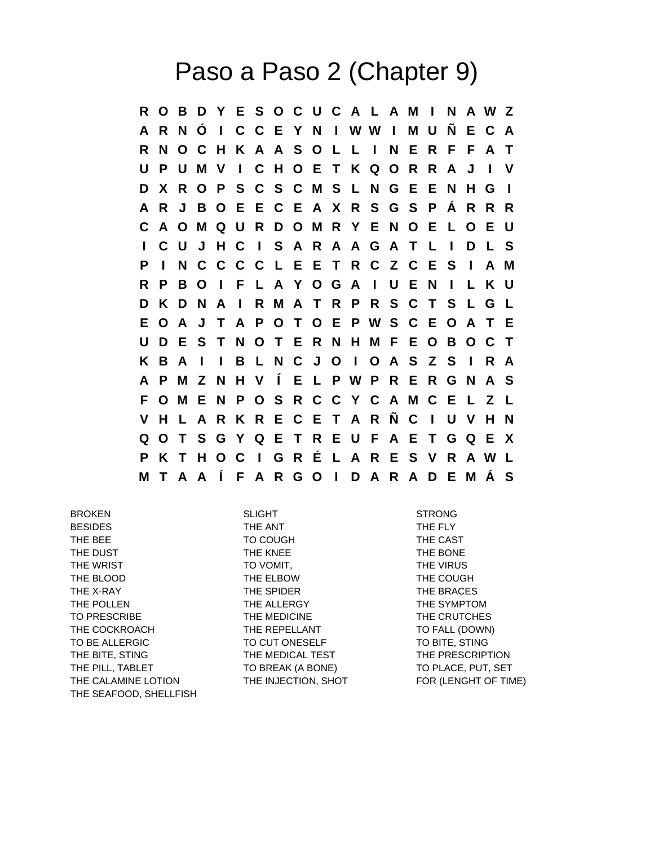## Paso a Paso 2 (Chapter 9)

**R O B D Y E S O C U C A L A M I N A W Z A R N Ó I C C E Y N I W W I M U Ñ E C A R N O C H K A A S O L L I N E R F F A T U P U M V I C H O E T K Q O R R A J I V D X R O P S C S C M S L N G E E N H G I A R J B O E E C E A X R S G S P Á R R R C A O M Q U R D O M R Y E N O E L O E U I C U J H C I S A R A A G A T L I D L S P I N C C C C L E E T R C Z C E S I A M R P B O I F L A Y O G A I U E N I L K U D K D N A I R M A T R P R S C T S L G L E O A J T A P O T O E P W S C E O A T E U D E S T N O T E R N H M F E O B O C T K B A I I B L N C J O I O A S Z S I R A A P M Z N H V Í E L P W P R E R G N A S F O M E N P O S R C C Y C A M C E L Z L V H L A R K R E C E T A R Ñ C I U V H N Q O T S G Y Q E T R E U F A E T G Q E X P K T H O C I G R É L A R E S V R A W L M T A A Í F A R G O I D A R A D E M Á S**

BROKEN SLIGHT STRONG BESIDES THE ANT THE ANT THE FLY THE BEE TO COUGH THE CAST THE DUST THE KNEE THE SONE THE BONE THE WRIST TO VOMIT, THE WIRUS THE VIRUS THE BLOOD **THE ELBOW** THE COUGH THE X-RAY THE SPIDER THE SPIDER THE SPIDER THE BRACES THE POLLEN THE ALLERGY THE SYMPTOM TO PRESCRIBE THE MEDICINE THE THE CRUTCHES THE COCKROACH THE REPELLANT TO FALL (DOWN) TO BE ALLERGIC TO CUT ONESELF TO BITE, STING THE BITE, STING THE THE MEDICAL TEST THE PRESCRIPTION THE PILL, TABLET TO BREAK (A BONE) TO PLACE, PUT, SET THE CALAMINE LOTION THE INJECTION, SHOT FOR (LENGHT OF TIME) THE SEAFOOD, SHELLFISH